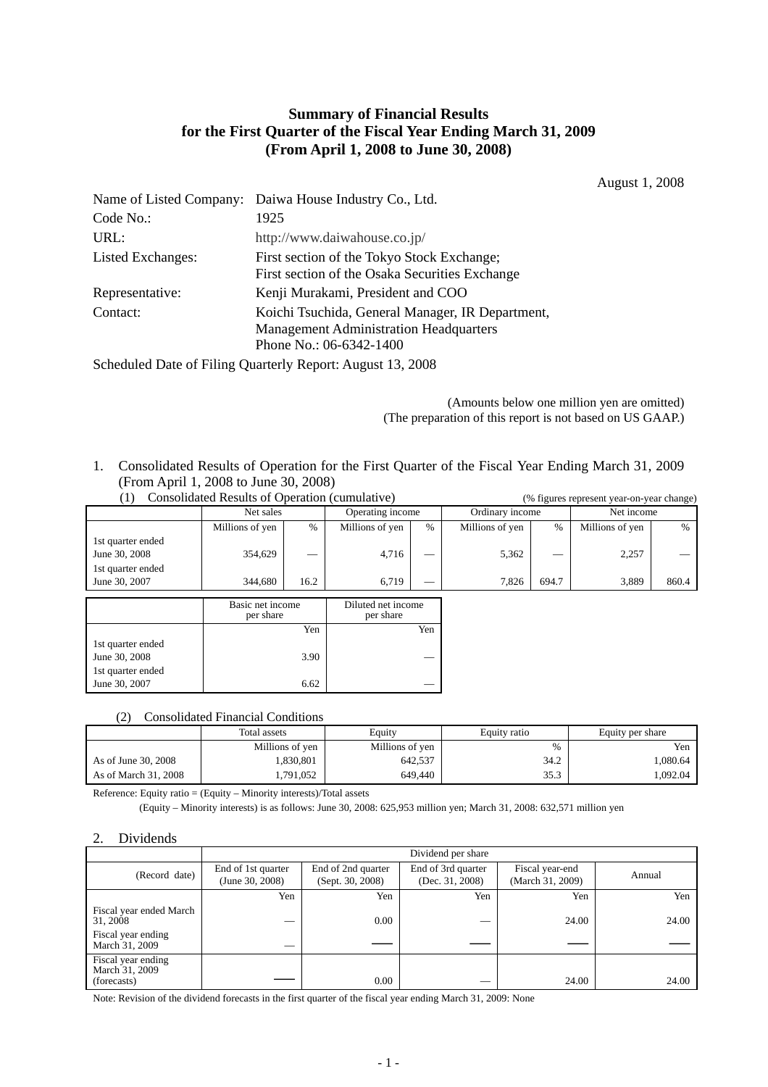# **Summary of Financial Results for the First Quarter of the Fiscal Year Ending March 31, 2009 (From April 1, 2008 to June 30, 2008)**

August 1, 2008

|                   | Name of Listed Company: Daiwa House Industry Co., Ltd.                                                                       |  |  |
|-------------------|------------------------------------------------------------------------------------------------------------------------------|--|--|
| Code No.:         | 1925                                                                                                                         |  |  |
| URL:              | http://www.daiwahouse.co.jp/                                                                                                 |  |  |
| Listed Exchanges: | First section of the Tokyo Stock Exchange;<br>First section of the Osaka Securities Exchange                                 |  |  |
| Representative:   | Kenji Murakami, President and COO                                                                                            |  |  |
| Contact:          | Koichi Tsuchida, General Manager, IR Department,<br><b>Management Administration Headquarters</b><br>Phone No.: 06-6342-1400 |  |  |

Scheduled Date of Filing Quarterly Report: August 13, 2008

 (Amounts below one million yen are omitted) (The preparation of this report is not based on US GAAP.)

1. Consolidated Results of Operation for the First Quarter of the Fiscal Year Ending March 31, 2009 (From April 1, 2008 to June 30, 2008)

| Consolidated Results of Operation (cumulative)          |                 |      | (% figures represent year-on-year change) |      |                 |       |                 |       |
|---------------------------------------------------------|-----------------|------|-------------------------------------------|------|-----------------|-------|-----------------|-------|
|                                                         | Net sales       |      | Operating income                          |      | Ordinary income |       | Net income      |       |
|                                                         | Millions of yen | %    | Millions of yen                           | $\%$ | Millions of yen | $\%$  | Millions of yen | $\%$  |
| 1st quarter ended<br>June 30, 2008<br>1st quarter ended | 354.629         |      | 4,716                                     |      | 5.362           |       | 2,257           |       |
| June 30, 2007                                           | 344,680         | 16.2 | 6.719                                     |      | 7.826           | 694.7 | 3.889           | 860.4 |
|                                                         |                 |      |                                           |      |                 |       |                 |       |

|                   | Basic net income<br>per share | Diluted net income<br>per share |
|-------------------|-------------------------------|---------------------------------|
|                   | Yen                           | Yen                             |
| 1st quarter ended |                               |                                 |
| June 30, 2008     | 3.90                          |                                 |
| 1st quarter ended |                               |                                 |
| June 30, 2007     | 6.62                          |                                 |

#### (2) Consolidated Financial Conditions

|                      | Total assets<br>Equity |                 | Equity ratio | Equity per share |
|----------------------|------------------------|-----------------|--------------|------------------|
|                      | Millions of yen        | Millions of yen | $\%$         | Yen              |
| As of June 30, 2008  | .830,801               | 642,537         | 34.2         | .080.64          |
| As of March 31, 2008 | ,791,052               | 649,440         | 35.3         | .092.04          |

Reference: Equity ratio = (Equity – Minority interests)/Total assets

(Equity – Minority interests) is as follows: June 30, 2008: 625,953 million yen; March 31, 2008: 632,571 million yen

#### 2. Dividends

|                                                     | Dividend per share |                    |                    |                  |        |  |
|-----------------------------------------------------|--------------------|--------------------|--------------------|------------------|--------|--|
| (Record date)                                       | End of 1st quarter | End of 2nd quarter | End of 3rd quarter | Fiscal year-end  | Annual |  |
|                                                     | (June 30, 2008)    | (Sept. 30, 2008)   | (Dec. 31, 2008)    | (March 31, 2009) |        |  |
|                                                     | Yen                | Yen                | Yen                | Yen              | Yen    |  |
| Fiscal year ended March<br>31, 2008                 |                    | 0.00               |                    | 24.00            | 24.00  |  |
| Fiscal year ending<br>March 31, 2009                |                    |                    |                    |                  |        |  |
| Fiscal year ending<br>March 31, 2009<br>(forecasts) |                    | 0.00               |                    | 24.00            | 24.00  |  |

Note: Revision of the dividend forecasts in the first quarter of the fiscal year ending March 31, 2009: None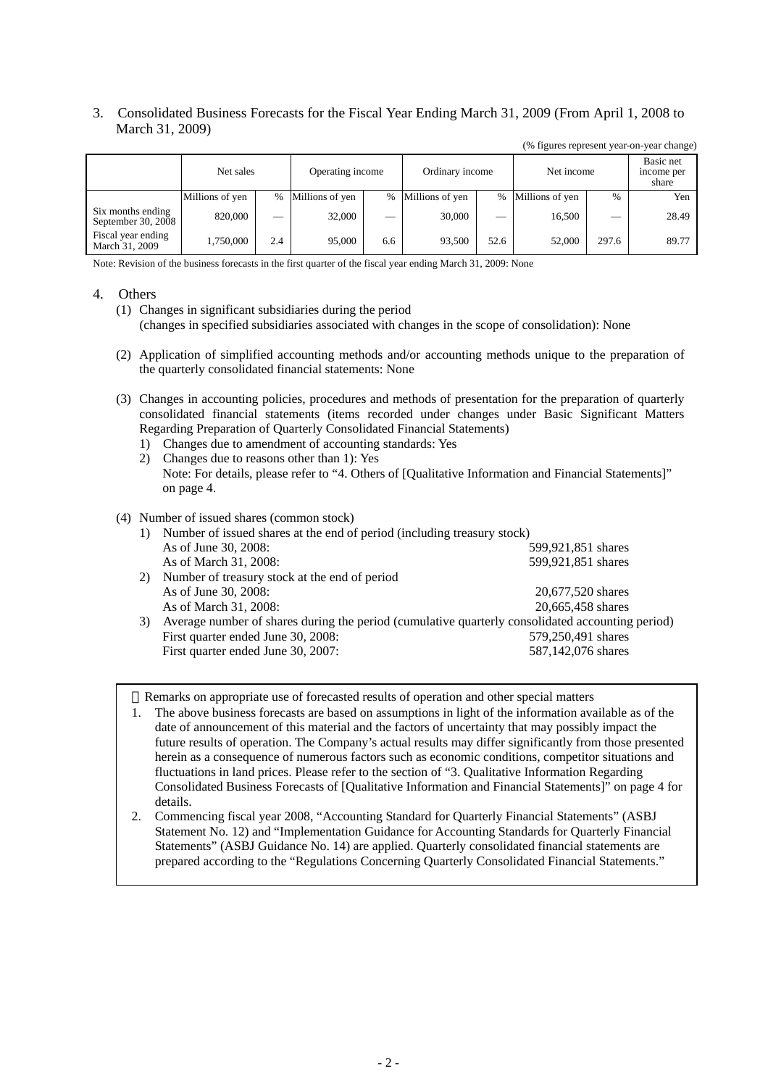## 3. Consolidated Business Forecasts for the Fiscal Year Ending March 31, 2009 (From April 1, 2008 to March 31, 2009)

|  | (% figures represent year-on-year change) |  |
|--|-------------------------------------------|--|
|  |                                           |  |

|                                         | Net sales       |      | Operating income |     | Ordinary income   |      | Net income      |       | Basic net<br>income per<br>share |
|-----------------------------------------|-----------------|------|------------------|-----|-------------------|------|-----------------|-------|----------------------------------|
|                                         | Millions of yen | $\%$ | Millions of yen  |     | % Millions of yen | $\%$ | Millions of yen | $\%$  | Yen                              |
| Six months ending<br>September 30, 2008 | 820,000         |      | 32,000           | __  | 30,000            |      | 16,500          |       | 28.49                            |
| Fiscal year ending<br>March 31, 2009    | 1,750,000       | 2.4  | 95,000           | 6.6 | 93.500            | 52.6 | 52,000          | 297.6 | 89.77                            |

Note: Revision of the business forecasts in the first quarter of the fiscal year ending March 31, 2009: None

### 4. Others

- (1) Changes in significant subsidiaries during the period (changes in specified subsidiaries associated with changes in the scope of consolidation): None
- (2) Application of simplified accounting methods and/or accounting methods unique to the preparation of the quarterly consolidated financial statements: None
- (3) Changes in accounting policies, procedures and methods of presentation for the preparation of quarterly consolidated financial statements (items recorded under changes under Basic Significant Matters Regarding Preparation of Quarterly Consolidated Financial Statements)
	- 1) Changes due to amendment of accounting standards: Yes
	- 2) Changes due to reasons other than 1): Yes Note: For details, please refer to "4. Others of [Qualitative Information and Financial Statements]" on page 4.

### (4) Number of issued shares (common stock)

| 1) | Number of issued shares at the end of period (including treasury stock)                          |                    |  |  |  |  |
|----|--------------------------------------------------------------------------------------------------|--------------------|--|--|--|--|
|    | As of June 30, 2008:                                                                             | 599,921,851 shares |  |  |  |  |
|    | As of March 31, 2008:                                                                            | 599,921,851 shares |  |  |  |  |
| 2) | Number of treasury stock at the end of period                                                    |                    |  |  |  |  |
|    | As of June 30, 2008:                                                                             | 20,677,520 shares  |  |  |  |  |
|    | As of March 31, 2008:                                                                            | 20,665,458 shares  |  |  |  |  |
| 3) | Average number of shares during the period (cumulative quarterly consolidated accounting period) |                    |  |  |  |  |
|    | First quarter ended June 30, 2008:                                                               | 579,250,491 shares |  |  |  |  |
|    | First quarter ended June 30, 2007:                                                               | 587,142,076 shares |  |  |  |  |

Remarks on appropriate use of forecasted results of operation and other special matters

1. The above business forecasts are based on assumptions in light of the information available as of the date of announcement of this material and the factors of uncertainty that may possibly impact the future results of operation. The Company's actual results may differ significantly from those presented herein as a consequence of numerous factors such as economic conditions, competitor situations and fluctuations in land prices. Please refer to the section of "3. Qualitative Information Regarding Consolidated Business Forecasts of [Qualitative Information and Financial Statements]" on page 4 for details.

2. Commencing fiscal year 2008, "Accounting Standard for Quarterly Financial Statements" (ASBJ Statement No. 12) and "Implementation Guidance for Accounting Standards for Quarterly Financial Statements" (ASBJ Guidance No. 14) are applied. Quarterly consolidated financial statements are prepared according to the "Regulations Concerning Quarterly Consolidated Financial Statements."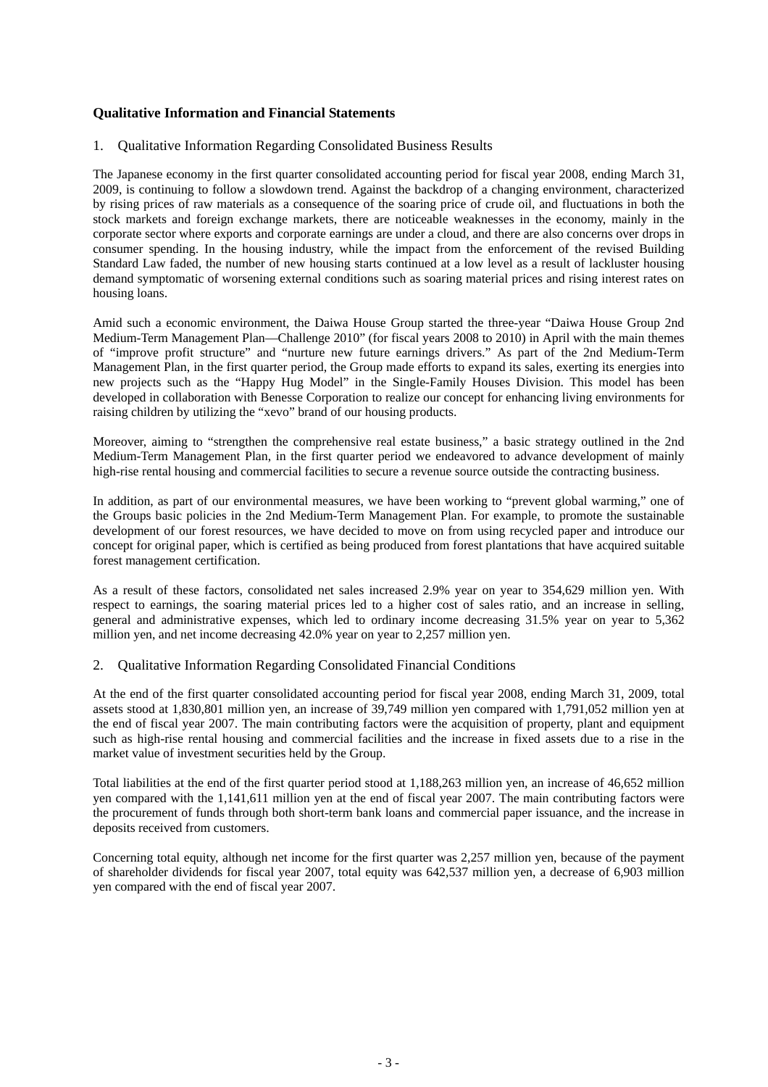## **Qualitative Information and Financial Statements**

#### 1. Qualitative Information Regarding Consolidated Business Results

The Japanese economy in the first quarter consolidated accounting period for fiscal year 2008, ending March 31, 2009, is continuing to follow a slowdown trend. Against the backdrop of a changing environment, characterized by rising prices of raw materials as a consequence of the soaring price of crude oil, and fluctuations in both the stock markets and foreign exchange markets, there are noticeable weaknesses in the economy, mainly in the corporate sector where exports and corporate earnings are under a cloud, and there are also concerns over drops in consumer spending. In the housing industry, while the impact from the enforcement of the revised Building Standard Law faded, the number of new housing starts continued at a low level as a result of lackluster housing demand symptomatic of worsening external conditions such as soaring material prices and rising interest rates on housing loans.

Amid such a economic environment, the Daiwa House Group started the three-year "Daiwa House Group 2nd Medium-Term Management Plan—Challenge 2010" (for fiscal years 2008 to 2010) in April with the main themes of "improve profit structure" and "nurture new future earnings drivers." As part of the 2nd Medium-Term Management Plan, in the first quarter period, the Group made efforts to expand its sales, exerting its energies into new projects such as the "Happy Hug Model" in the Single-Family Houses Division. This model has been developed in collaboration with Benesse Corporation to realize our concept for enhancing living environments for raising children by utilizing the "xevo" brand of our housing products.

Moreover, aiming to "strengthen the comprehensive real estate business," a basic strategy outlined in the 2nd Medium-Term Management Plan, in the first quarter period we endeavored to advance development of mainly high-rise rental housing and commercial facilities to secure a revenue source outside the contracting business.

In addition, as part of our environmental measures, we have been working to "prevent global warming," one of the Groups basic policies in the 2nd Medium-Term Management Plan. For example, to promote the sustainable development of our forest resources, we have decided to move on from using recycled paper and introduce our concept for original paper, which is certified as being produced from forest plantations that have acquired suitable forest management certification.

As a result of these factors, consolidated net sales increased 2.9% year on year to 354,629 million yen. With respect to earnings, the soaring material prices led to a higher cost of sales ratio, and an increase in selling, general and administrative expenses, which led to ordinary income decreasing 31.5% year on year to 5,362 million yen, and net income decreasing 42.0% year on year to 2,257 million yen.

#### 2. Qualitative Information Regarding Consolidated Financial Conditions

At the end of the first quarter consolidated accounting period for fiscal year 2008, ending March 31, 2009, total assets stood at 1,830,801 million yen, an increase of 39,749 million yen compared with 1,791,052 million yen at the end of fiscal year 2007. The main contributing factors were the acquisition of property, plant and equipment such as high-rise rental housing and commercial facilities and the increase in fixed assets due to a rise in the market value of investment securities held by the Group.

Total liabilities at the end of the first quarter period stood at 1,188,263 million yen, an increase of 46,652 million yen compared with the 1,141,611 million yen at the end of fiscal year 2007. The main contributing factors were the procurement of funds through both short-term bank loans and commercial paper issuance, and the increase in deposits received from customers.

Concerning total equity, although net income for the first quarter was 2,257 million yen, because of the payment of shareholder dividends for fiscal year 2007, total equity was 642,537 million yen, a decrease of 6,903 million yen compared with the end of fiscal year 2007.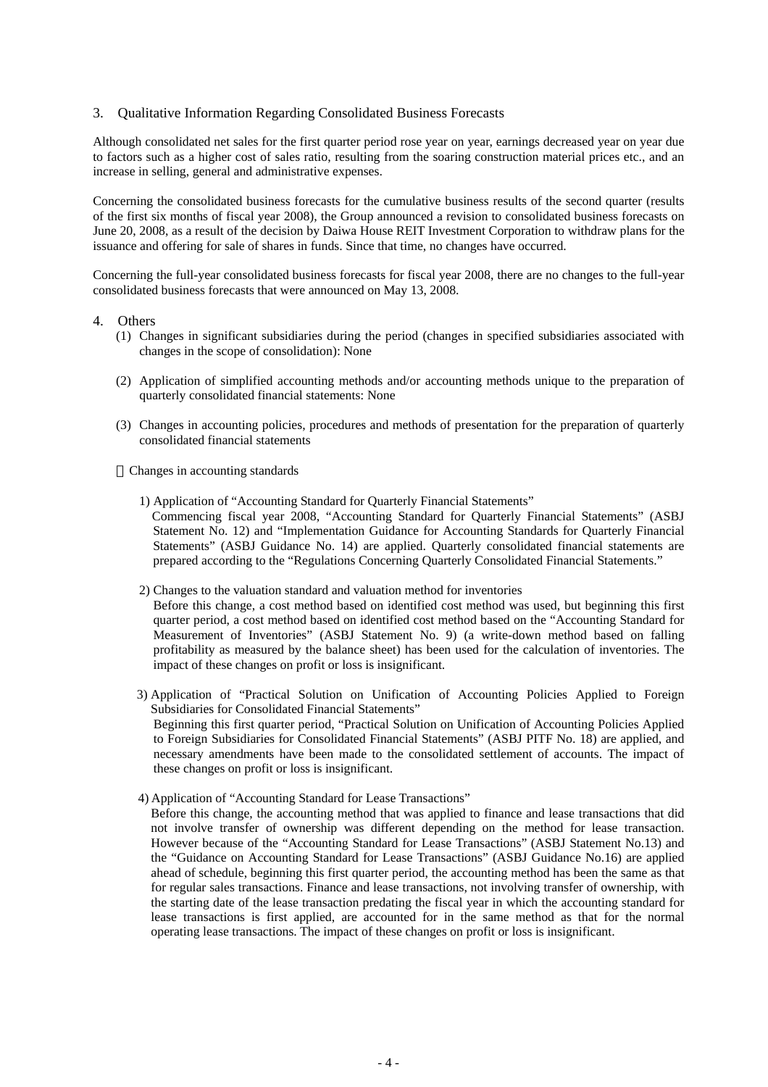#### 3. Qualitative Information Regarding Consolidated Business Forecasts

Although consolidated net sales for the first quarter period rose year on year, earnings decreased year on year due to factors such as a higher cost of sales ratio, resulting from the soaring construction material prices etc., and an increase in selling, general and administrative expenses.

Concerning the consolidated business forecasts for the cumulative business results of the second quarter (results of the first six months of fiscal year 2008), the Group announced a revision to consolidated business forecasts on June 20, 2008, as a result of the decision by Daiwa House REIT Investment Corporation to withdraw plans for the issuance and offering for sale of shares in funds. Since that time, no changes have occurred.

Concerning the full-year consolidated business forecasts for fiscal year 2008, there are no changes to the full-year consolidated business forecasts that were announced on May 13, 2008.

#### 4. Others

- (1) Changes in significant subsidiaries during the period (changes in specified subsidiaries associated with changes in the scope of consolidation): None
- (2) Application of simplified accounting methods and/or accounting methods unique to the preparation of quarterly consolidated financial statements: None
- (3) Changes in accounting policies, procedures and methods of presentation for the preparation of quarterly consolidated financial statements

Changes in accounting standards

- 1) Application of "Accounting Standard for Quarterly Financial Statements" Commencing fiscal year 2008, "Accounting Standard for Quarterly Financial Statements" (ASBJ Statement No. 12) and "Implementation Guidance for Accounting Standards for Quarterly Financial Statements" (ASBJ Guidance No. 14) are applied. Quarterly consolidated financial statements are prepared according to the "Regulations Concerning Quarterly Consolidated Financial Statements."
- 2) Changes to the valuation standard and valuation method for inventories Before this change, a cost method based on identified cost method was used, but beginning this first quarter period, a cost method based on identified cost method based on the "Accounting Standard for Measurement of Inventories" (ASBJ Statement No. 9) (a write-down method based on falling profitability as measured by the balance sheet) has been used for the calculation of inventories. The impact of these changes on profit or loss is insignificant.
- 3) Application of "Practical Solution on Unification of Accounting Policies Applied to Foreign Subsidiaries for Consolidated Financial Statements" Beginning this first quarter period, "Practical Solution on Unification of Accounting Policies Applied to Foreign Subsidiaries for Consolidated Financial Statements" (ASBJ PITF No. 18) are applied, and necessary amendments have been made to the consolidated settlement of accounts. The impact of these changes on profit or loss is insignificant.
- 4) Application of "Accounting Standard for Lease Transactions"

Before this change, the accounting method that was applied to finance and lease transactions that did not involve transfer of ownership was different depending on the method for lease transaction. However because of the "Accounting Standard for Lease Transactions" (ASBJ Statement No.13) and the "Guidance on Accounting Standard for Lease Transactions" (ASBJ Guidance No.16) are applied ahead of schedule, beginning this first quarter period, the accounting method has been the same as that for regular sales transactions. Finance and lease transactions, not involving transfer of ownership, with the starting date of the lease transaction predating the fiscal year in which the accounting standard for lease transactions is first applied, are accounted for in the same method as that for the normal operating lease transactions. The impact of these changes on profit or loss is insignificant.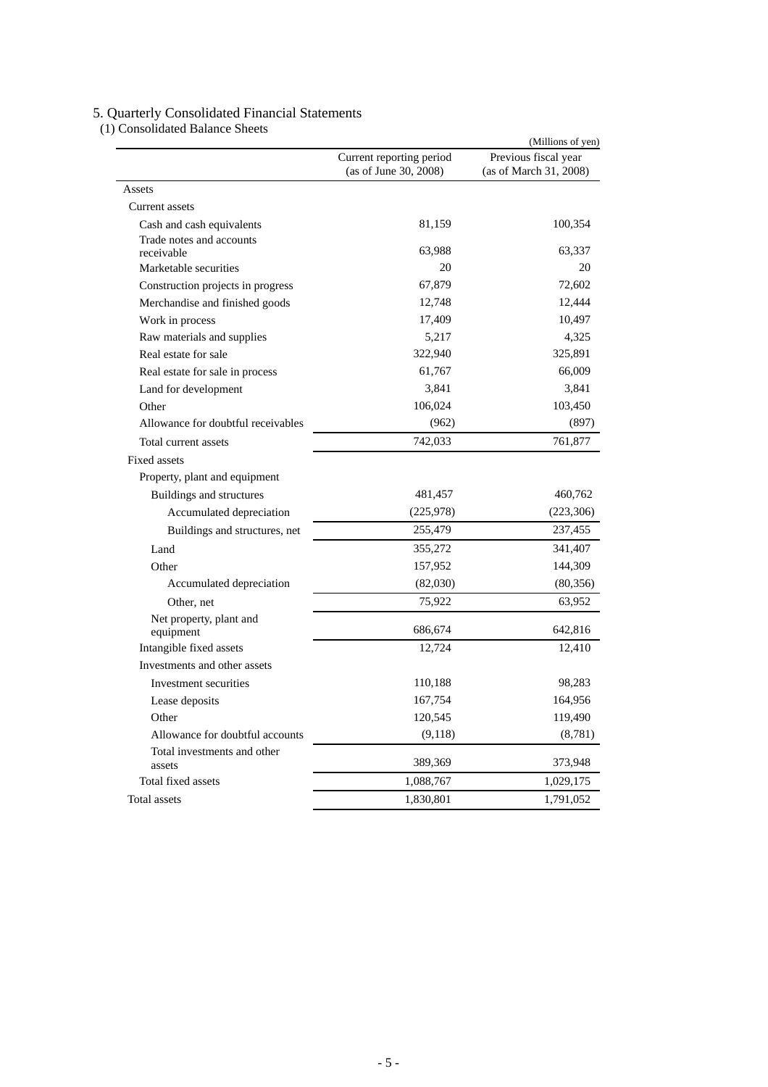#### 5. Quarterly Consolidated Financial Statements

(1) Consolidated Balance Sheets

|                                        | (Millions of yen)                                 |                                                |  |  |  |
|----------------------------------------|---------------------------------------------------|------------------------------------------------|--|--|--|
|                                        | Current reporting period<br>(as of June 30, 2008) | Previous fiscal year<br>(as of March 31, 2008) |  |  |  |
| Assets                                 |                                                   |                                                |  |  |  |
| Current assets                         |                                                   |                                                |  |  |  |
| Cash and cash equivalents              | 81,159                                            | 100,354                                        |  |  |  |
| Trade notes and accounts<br>receivable | 63,988                                            | 63,337                                         |  |  |  |
| Marketable securities                  | 20                                                | 20                                             |  |  |  |
| Construction projects in progress      | 67,879                                            | 72,602                                         |  |  |  |
| Merchandise and finished goods         | 12,748                                            | 12,444                                         |  |  |  |
| Work in process                        | 17,409                                            | 10,497                                         |  |  |  |
| Raw materials and supplies             | 5,217                                             | 4,325                                          |  |  |  |
| Real estate for sale                   | 322,940                                           | 325,891                                        |  |  |  |
| Real estate for sale in process        | 61,767                                            | 66,009                                         |  |  |  |
| Land for development                   | 3,841                                             | 3,841                                          |  |  |  |
| Other                                  | 106,024                                           | 103,450                                        |  |  |  |
| Allowance for doubtful receivables     | (962)                                             | (897)                                          |  |  |  |
| Total current assets                   | 742,033                                           | 761,877                                        |  |  |  |
| <b>Fixed assets</b>                    |                                                   |                                                |  |  |  |
| Property, plant and equipment          |                                                   |                                                |  |  |  |
| Buildings and structures               | 481,457                                           | 460,762                                        |  |  |  |
| Accumulated depreciation               | (225, 978)                                        | (223, 306)                                     |  |  |  |
| Buildings and structures, net          | 255,479                                           | 237,455                                        |  |  |  |
| Land                                   | 355,272                                           | 341,407                                        |  |  |  |
| Other                                  | 157,952                                           | 144,309                                        |  |  |  |
| Accumulated depreciation               | (82,030)                                          | (80, 356)                                      |  |  |  |
| Other, net                             | 75,922                                            | 63,952                                         |  |  |  |
| Net property, plant and<br>equipment   | 686,674                                           | 642,816                                        |  |  |  |
| Intangible fixed assets                | 12,724                                            | 12,410                                         |  |  |  |
| Investments and other assets           |                                                   |                                                |  |  |  |
| Investment securities                  | 110,188                                           | 98,283                                         |  |  |  |
| Lease deposits                         | 167,754                                           | 164,956                                        |  |  |  |
| Other                                  | 120,545                                           | 119,490                                        |  |  |  |
| Allowance for doubtful accounts        | (9,118)                                           | (8,781)                                        |  |  |  |
| Total investments and other<br>assets  | 389,369                                           | 373,948                                        |  |  |  |
| Total fixed assets                     | 1,088,767                                         | 1,029,175                                      |  |  |  |
| Total assets                           | 1,830,801                                         | 1,791,052                                      |  |  |  |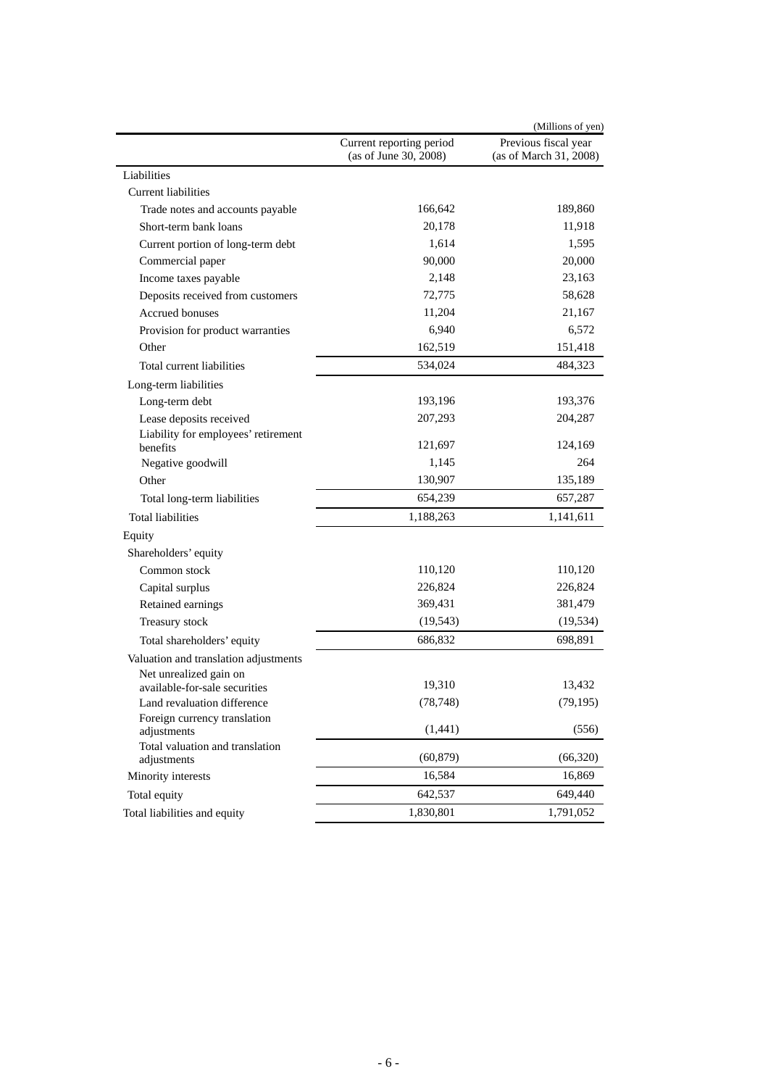|                                             |                                                   | (Millions of yen)                              |
|---------------------------------------------|---------------------------------------------------|------------------------------------------------|
|                                             | Current reporting period<br>(as of June 30, 2008) | Previous fiscal year<br>(as of March 31, 2008) |
| Liabilities                                 |                                                   |                                                |
| <b>Current liabilities</b>                  |                                                   |                                                |
| Trade notes and accounts payable            | 166,642                                           | 189,860                                        |
| Short-term bank loans                       | 20,178                                            | 11,918                                         |
| Current portion of long-term debt           | 1,614                                             | 1,595                                          |
| Commercial paper                            | 90,000                                            | 20,000                                         |
| Income taxes payable                        | 2,148                                             | 23,163                                         |
| Deposits received from customers            | 72,775                                            | 58,628                                         |
| <b>Accrued bonuses</b>                      | 11,204                                            | 21,167                                         |
| Provision for product warranties            | 6,940                                             | 6,572                                          |
| Other                                       | 162,519                                           | 151,418                                        |
| Total current liabilities                   | 534,024                                           | 484,323                                        |
| Long-term liabilities                       |                                                   |                                                |
| Long-term debt                              | 193,196                                           | 193,376                                        |
| Lease deposits received                     | 207,293                                           | 204,287                                        |
| Liability for employees' retirement         |                                                   |                                                |
| benefits                                    | 121,697                                           | 124,169                                        |
| Negative goodwill                           | 1,145                                             | 264                                            |
| Other                                       | 130,907                                           | 135,189                                        |
| Total long-term liabilities                 | 654,239                                           | 657,287                                        |
| <b>Total liabilities</b>                    | 1,188,263                                         | 1,141,611                                      |
| Equity                                      |                                                   |                                                |
| Shareholders' equity                        |                                                   |                                                |
| Common stock                                | 110,120                                           | 110,120                                        |
| Capital surplus                             | 226,824                                           | 226,824                                        |
| Retained earnings                           | 369,431                                           | 381,479                                        |
| Treasury stock                              | (19, 543)                                         | (19, 534)                                      |
| Total shareholders' equity                  | 686,832                                           | 698,891                                        |
| Valuation and translation adjustments       |                                                   |                                                |
| Net unrealized gain on                      |                                                   |                                                |
| available-for-sale securities               | 19,310                                            | 13,432                                         |
| Land revaluation difference                 | (78, 748)                                         | (79, 195)                                      |
| Foreign currency translation<br>adjustments | (1, 441)                                          | (556)                                          |
| Total valuation and translation             |                                                   |                                                |
| adjustments                                 | (60, 879)                                         | (66, 320)                                      |
| Minority interests                          | 16,584                                            | 16,869                                         |
| Total equity                                | 642,537                                           | 649,440                                        |
| Total liabilities and equity                | 1,830,801                                         | 1,791,052                                      |
|                                             |                                                   |                                                |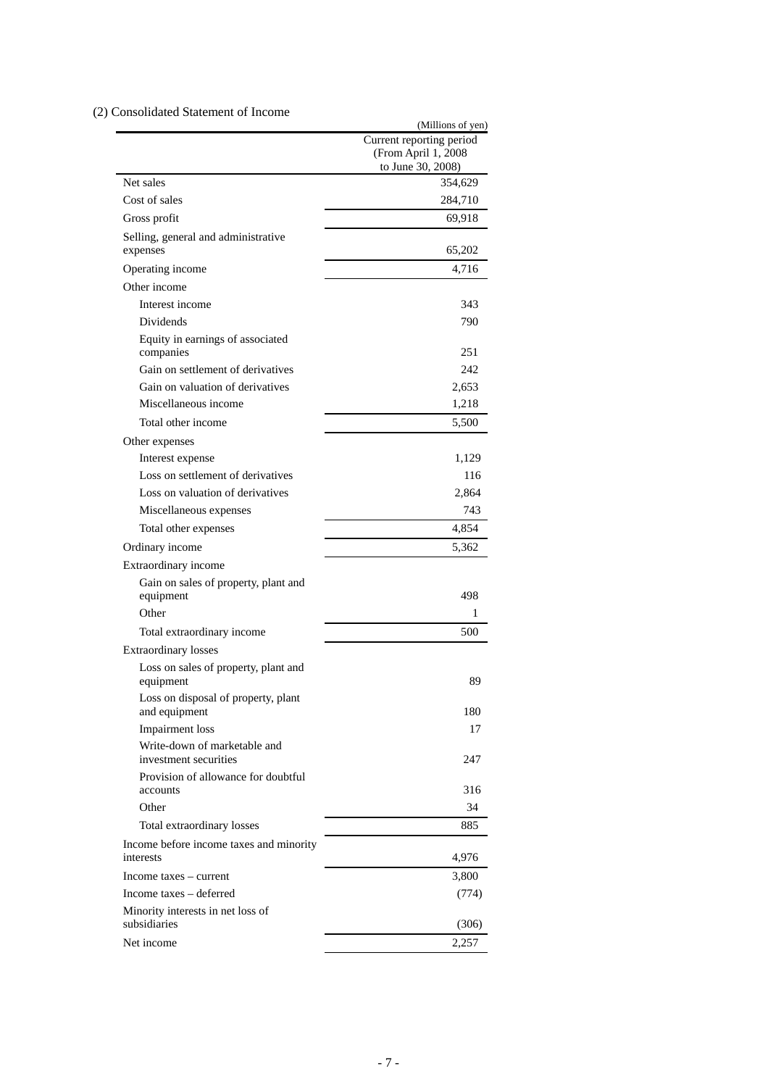# (2) Consolidated Statement of Income

|                                                       | (Millions of yen)<br>Current reporting period<br>(From April 1, 2008<br>to June 30, 2008) |
|-------------------------------------------------------|-------------------------------------------------------------------------------------------|
| Net sales                                             | 354,629                                                                                   |
| Cost of sales                                         | 284,710                                                                                   |
| Gross profit                                          | 69,918                                                                                    |
| Selling, general and administrative                   |                                                                                           |
| expenses                                              | 65,202                                                                                    |
| Operating income                                      | 4,716                                                                                     |
| Other income                                          |                                                                                           |
| Interest income                                       | 343                                                                                       |
| Dividends                                             | 790                                                                                       |
| Equity in earnings of associated<br>companies         | 251                                                                                       |
| Gain on settlement of derivatives                     | 242                                                                                       |
| Gain on valuation of derivatives                      | 2,653                                                                                     |
| Miscellaneous income                                  | 1,218                                                                                     |
| Total other income                                    | 5,500                                                                                     |
| Other expenses                                        |                                                                                           |
| Interest expense                                      | 1,129                                                                                     |
| Loss on settlement of derivatives                     | 116                                                                                       |
| Loss on valuation of derivatives                      | 2,864                                                                                     |
| Miscellaneous expenses                                | 743                                                                                       |
| Total other expenses                                  | 4,854                                                                                     |
| Ordinary income                                       | 5,362                                                                                     |
| Extraordinary income                                  |                                                                                           |
| Gain on sales of property, plant and<br>equipment     | 498                                                                                       |
| Other                                                 | 1                                                                                         |
| Total extraordinary income                            | 500                                                                                       |
| <b>Extraordinary losses</b>                           |                                                                                           |
| Loss on sales of property, plant and<br>equipment     | 89                                                                                        |
| Loss on disposal of property, plant<br>and equipment  | 180                                                                                       |
| <b>Impairment</b> loss                                | 17                                                                                        |
| Write-down of marketable and<br>investment securities | 247                                                                                       |
| Provision of allowance for doubtful<br>accounts       | 316                                                                                       |
| Other                                                 | 34                                                                                        |
| Total extraordinary losses                            | 885                                                                                       |
| Income before income taxes and minority<br>interests  | 4,976                                                                                     |
| Income taxes – current                                | 3,800                                                                                     |
| Income taxes – deferred                               | (774)                                                                                     |
| Minority interests in net loss of<br>subsidiaries     | (306)                                                                                     |
| Net income                                            | 2,257                                                                                     |
|                                                       |                                                                                           |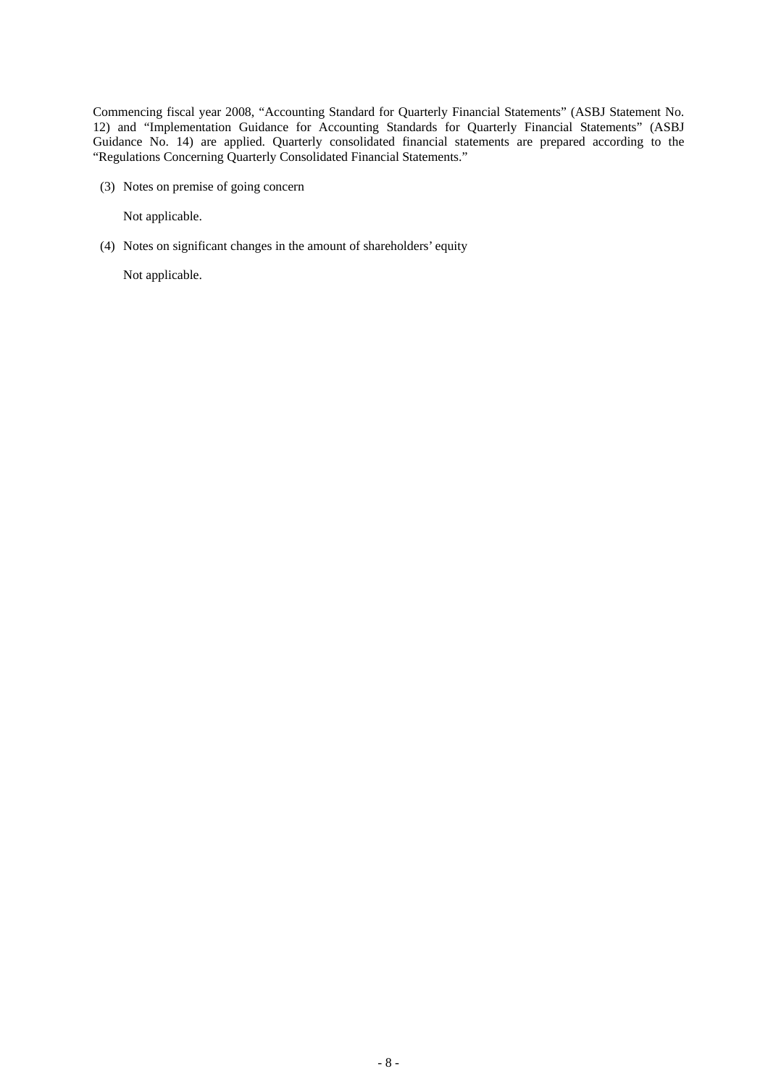Commencing fiscal year 2008, "Accounting Standard for Quarterly Financial Statements" (ASBJ Statement No. 12) and "Implementation Guidance for Accounting Standards for Quarterly Financial Statements" (ASBJ Guidance No. 14) are applied. Quarterly consolidated financial statements are prepared according to the "Regulations Concerning Quarterly Consolidated Financial Statements."

(3) Notes on premise of going concern

Not applicable.

(4) Notes on significant changes in the amount of shareholders' equity

Not applicable.